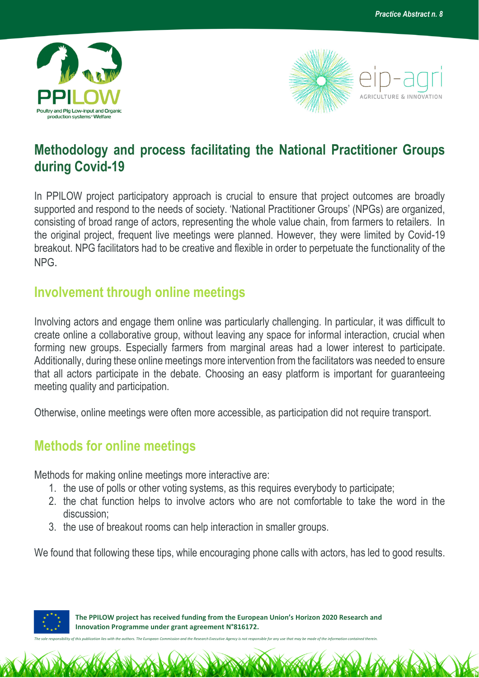



## **Methodology and process facilitating the National Practitioner Groups during Covid-19**

In PPILOW project participatory approach is crucial to ensure that project outcomes are broadly supported and respond to the needs of society. 'National Practitioner Groups' (NPGs) are organized, consisting of broad range of actors, representing the whole value chain, from farmers to retailers. In the original project, frequent live meetings were planned. However, they were limited by Covid-19 breakout. NPG facilitators had to be creative and flexible in order to perpetuate the functionality of the NPG.

## **Involvement through online meetings**

Involving actors and engage them online was particularly challenging. In particular, it was difficult to create online a collaborative group, without leaving any space for informal interaction, crucial when forming new groups. Especially farmers from marginal areas had a lower interest to participate. Additionally, during these online meetings more intervention from the facilitators was needed to ensure that all actors participate in the debate. Choosing an easy platform is important for guaranteeing meeting quality and participation.

Otherwise, online meetings were often more accessible, as participation did not require transport.

## **Methods for online meetings**

Methods for making online meetings more interactive are:

- 1. the use of polls or other voting systems, as this requires everybody to participate;
- 2. the chat function helps to involve actors who are not comfortable to take the word in the discussion;
- 3. the use of breakout rooms can help interaction in smaller groups.

We found that following these tips, while encouraging phone calls with actors, has led to good results.



 **The PPILOW project has received funding from the European Union's Horizon 2020 Research and Innovation Programme under grant agreement N°816172.**

*The sole responsibility of this publication lies with the authors. The European Commission and the Research Executive Agency is not responsible for any use that may be made of the information contained therein.*